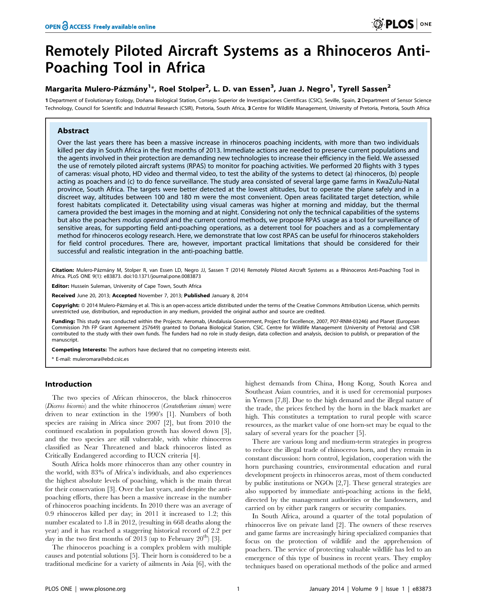# Remotely Piloted Aircraft Systems as a Rhinoceros Anti-Poaching Tool in Africa

# Margarita Mulero-Pázmány<sup>1</sup>\*, Roel Stolper<sup>2</sup>, L. D. van Essen<sup>3</sup>, Juan J. Negro<sup>1</sup>, Tyrell Sassen<sup>2</sup>

1 Department of Evolutionary Ecology, Doñana Biological Station, Consejo Superior de Investigaciones Científicas (CSIC), Seville, Spain, 2 Department of Sensor Science Technology, Council for Scientific and Industrial Research (CSIR), Pretoria, South Africa, 3 Centre for Wildlife Management, University of Pretoria, Pretoria, South Africa

# Abstract

Over the last years there has been a massive increase in rhinoceros poaching incidents, with more than two individuals killed per day in South Africa in the first months of 2013. Immediate actions are needed to preserve current populations and the agents involved in their protection are demanding new technologies to increase their efficiency in the field. We assessed the use of remotely piloted aircraft systems (RPAS) to monitor for poaching activities. We performed 20 flights with 3 types of cameras: visual photo, HD video and thermal video, to test the ability of the systems to detect (a) rhinoceros, (b) people acting as poachers and (c) to do fence surveillance. The study area consisted of several large game farms in KwaZulu-Natal province, South Africa. The targets were better detected at the lowest altitudes, but to operate the plane safely and in a discreet way, altitudes between 100 and 180 m were the most convenient. Open areas facilitated target detection, while forest habitats complicated it. Detectability using visual cameras was higher at morning and midday, but the thermal camera provided the best images in the morning and at night. Considering not only the technical capabilities of the systems but also the poachers modus operandi and the current control methods, we propose RPAS usage as a tool for surveillance of sensitive areas, for supporting field anti-poaching operations, as a deterrent tool for poachers and as a complementary method for rhinoceros ecology research. Here, we demonstrate that low cost RPAS can be useful for rhinoceros stakeholders for field control procedures. There are, however, important practical limitations that should be considered for their successful and realistic integration in the anti-poaching battle.

Citation: Mulero-Pázmány M, Stolper R, van Essen LD, Negro JJ, Sassen T (2014) Remotely Piloted Aircraft Systems as a Rhinoceros Anti-Poaching Tool in Africa. PLoS ONE 9(1): e83873. doi:10.1371/journal.pone.0083873

Editor: Hussein Suleman, University of Cape Town, South Africa

Received June 20, 2013; Accepted November 7, 2013; Published January 8, 2014

Copyright: © 2014 Mulero-Pázmány et al. This is an open-access article distributed under the terms of the Creative Commons Attribution License, which permits unrestricted use, distribution, and reproduction in any medium, provided the original author and source are credited.

Funding: This study was conducted within the Projects: Aeromab, (Andalusia Government, Project for Excellence, 2007, P07-RNM-03246) and Planet (European Commission 7th FP Grant Agreement 257649) granted to Doñana Biological Station, CSIC. Centre for Wildlife Management (University of Pretoria) and CSIR contributed to the study with their own funds. The funders had no role in study design, data collection and analysis, decision to publish, or preparation of the manuscript.

Competing Interests: The authors have declared that no competing interests exist.

\* E-mail: muleromara@ebd.csic.es

# Introduction

The two species of African rhinoceros, the black rhinoceros (Diceros bicornis) and the white rhinoceros (Ceratotherium simum) were driven to near extinction in the 1990's [1]. Numbers of both species are raising in Africa since 2007 [2], but from 2010 the continued escalation in population growth has slowed down [3], and the two species are still vulnerable, with white rhinoceros classified as Near Threatened and black rhinoceros listed as Critically Endangered according to IUCN criteria [4].

South Africa holds more rhinoceros than any other country in the world, with 83% of Africa's individuals, and also experiences the highest absolute levels of poaching, which is the main threat for their conservation [3]. Over the last years, and despite the antipoaching efforts, there has been a massive increase in the number of rhinoceros poaching incidents. In 2010 there was an average of 0.9 rhinoceros killed per day; in 2011 it increased to 1.2; this number escalated to 1.8 in 2012, (resulting in 668 deaths along the year) and it has reached a staggering historical record of 2.2 per day in the two first months of 2013 (up to February  $20^{th}$ ) [3].

The rhinoceros poaching is a complex problem with multiple causes and potential solutions [5]. Their horn is considered to be a traditional medicine for a variety of ailments in Asia [6], with the highest demands from China, Hong Kong, South Korea and Southeast Asian countries, and it is used for ceremonial purposes in Yemen [7,8]. Due to the high demand and the illegal nature of the trade, the prices fetched by the horn in the black market are high. This constitutes a temptation to rural people with scarce resources, as the market value of one horn-set may be equal to the salary of several years for the poacher [5].

There are various long and medium-term strategies in progress to reduce the illegal trade of rhinoceros horn, and they remain in constant discussion: horn control, legislation, cooperation with the horn purchasing countries, environmental education and rural development projects in rhinoceros areas, most of them conducted by public institutions or NGOs [2,7]. These general strategies are also supported by immediate anti-poaching actions in the field, directed by the management authorities or the landowners, and carried on by either park rangers or security companies.

In South Africa, around a quarter of the total population of rhinoceros live on private land [2]. The owners of these reserves and game farms are increasingly hiring specialized companies that focus on the protection of wildlife and the apprehension of poachers. The service of protecting valuable wildlife has led to an emergence of this type of business in recent years. They employ techniques based on operational methods of the police and armed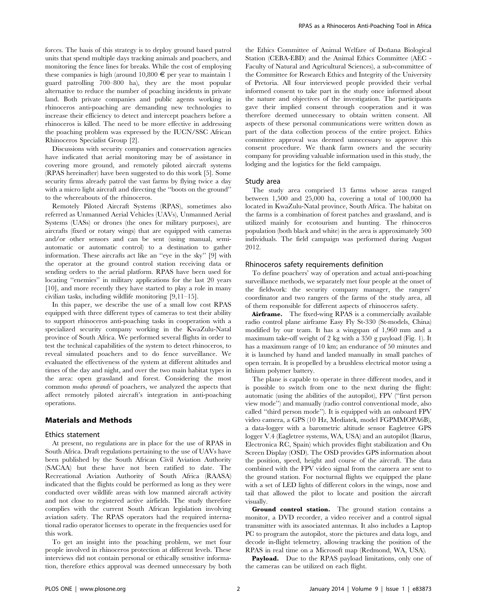forces. The basis of this strategy is to deploy ground based patrol units that spend multiple days tracking animals and poachers, and monitoring the fence lines for breaks. While the cost of employing these companies is high (around  $10,800 \in \text{per year}$  to maintain 1 guard patrolling 700–800 ha), they are the most popular alternative to reduce the number of poaching incidents in private land. Both private companies and public agents working in rhinoceros anti-poaching are demanding new technologies to increase their efficiency to detect and intercept poachers before a rhinoceros is killed. The need to be more effective in addressing the poaching problem was expressed by the IUCN/SSC African Rhinoceros Specialist Group [2].

Discussions with security companies and conservation agencies have indicated that aerial monitoring may be of assistance in covering more ground, and remotely piloted aircraft systems (RPAS hereinafter) have been suggested to do this work [5]. Some security firms already patrol the vast farms by flying twice a day with a micro light aircraft and directing the ''boots on the ground'' to the whereabouts of the rhinoceros.

Remotely Piloted Aircraft Systems (RPAS), sometimes also referred as Unmanned Aerial Vehicles (UAVs), Unmanned Aerial Systems (UASs) or drones (the ones for military purposes), are aircrafts (fixed or rotary wings) that are equipped with cameras and/or other sensors and can be sent (using manual, semiautomatic or automatic control) to a destination to gather information. These aircrafts act like an ''eye in the sky'' [9] with the operator at the ground control station receiving data or sending orders to the aerial platform. RPAS have been used for locating ''enemies'' in military applications for the last 20 years [10], and more recently they have started to play a role in many civilian tasks, including wildlife monitoring [9,11–15].

In this paper, we describe the use of a small low cost RPAS equipped with three different types of cameras to test their ability to support rhinoceros anti-poaching tasks in cooperation with a specialized security company working in the KwaZulu-Natal province of South Africa. We performed several flights in order to test the technical capabilities of the system to detect rhinoceros, to reveal simulated poachers and to do fence surveillance. We evaluated the effectiveness of the system at different altitudes and times of the day and night, and over the two main habitat types in the area: open grassland and forest. Considering the most common modus operandi of poachers, we analyzed the aspects that affect remotely piloted aircraft's integration in anti-poaching operations.

#### Materials and Methods

#### Ethics statement

At present, no regulations are in place for the use of RPAS in South Africa. Draft regulations pertaining to the use of UAVs have been published by the South African Civil Aviation Authority (SACAA) but these have not been ratified to date. The Recreational Aviation Authority of South Africa (RAASA) indicated that the flights could be performed as long as they were conducted over wildlife areas with low manned aircraft activity and not close to registered active airfields. The study therefore complies with the current South African legislation involving aviation safety. The RPAS operators had the required international radio operator licenses to operate in the frequencies used for this work.

To get an insight into the poaching problem, we met four people involved in rhinoceros protection at different levels. These interviews did not contain personal or ethically sensitive information, therefore ethics approval was deemed unnecessary by both the Ethics Committee of Animal Welfare of Doñana Biological Station (CEBA-EBD) and the Animal Ethics Committee (AEC - Faculty of Natural and Agricultural Sciences), a sub-committee of the Committee for Research Ethics and Integrity of the University of Pretoria. All four interviewed people provided their verbal informed consent to take part in the study once informed about the nature and objectives of the investigation. The participants gave their implied consent through cooperation and it was therefore deemed unnecessary to obtain written consent. All aspects of these personal communications were written down as part of the data collection process of the entire project. Ethics committee approval was deemed unnecessary to approve this consent procedure. We thank farm owners and the security company for providing valuable information used in this study, the lodging and the logistics for the field campaign.

#### Study area

The study area comprised 13 farms whose areas ranged between 1,500 and 25,000 ha, covering a total of 100,000 ha located in KwaZulu-Natal province, South Africa. The habitat on the farms is a combination of forest patches and grassland, and is utilized mainly for ecotourism and hunting. The rhinoceros population (both black and white) in the area is approximately 500 individuals. The field campaign was performed during August 2012.

#### Rhinoceros safety requirements definition

To define poachers' way of operation and actual anti-poaching surveillance methods, we separately met four people at the onset of the fieldwork: the security company manager, the rangers' coordinator and two rangers of the farms of the study area, all of them responsible for different aspects of rhinoceros safety.

Airframe. The fixed-wing RPAS is a commercially available radio control plane airframe Easy Fly St-330 (St-models, China) modified by our team. It has a wingspan of 1,960 mm and a maximum take-off weight of 2 kg with a 350 g payload (Fig. 1). It has a maximum range of 10 km; an endurance of 50 minutes and it is launched by hand and landed manually in small patches of open terrain. It is propelled by a brushless electrical motor using a lithium polymer battery.

The plane is capable to operate in three different modes, and it is possible to switch from one to the next during the flight: automatic (using the abilities of the autopilot), FPV (''first person view mode'') and manually (radio control conventional mode, also called ''third person mode''). It is equipped with an onboard FPV video camera, a GPS (10 Hz, Mediatek, model FGPMMOPA6B), a data-logger with a barometric altitude sensor Eagletree GPS logger V.4 (Eagletree systems, WA, USA) and an autopilot (Ikarus, Electronica RC, Spain) which provides flight stabilization and On Screen Display (OSD). The OSD provides GPS information about the position, speed, height and course of the aircraft. The data combined with the FPV video signal from the camera are sent to the ground station. For nocturnal flights we equipped the plane with a set of LED lights of different colors in the wings, nose and tail that allowed the pilot to locate and position the aircraft visually.

Ground control station. The ground station contains a monitor, a DVD recorder, a video receiver and a control signal transmitter with its associated antennas. It also includes a Laptop PC to program the autopilot, store the pictures and data logs, and decode in-flight telemetry, allowing tracking the position of the RPAS in real time on a Microsoft map (Redmond, WA, USA).

Payload. Due to the RPAS payload limitations, only one of the cameras can be utilized on each flight.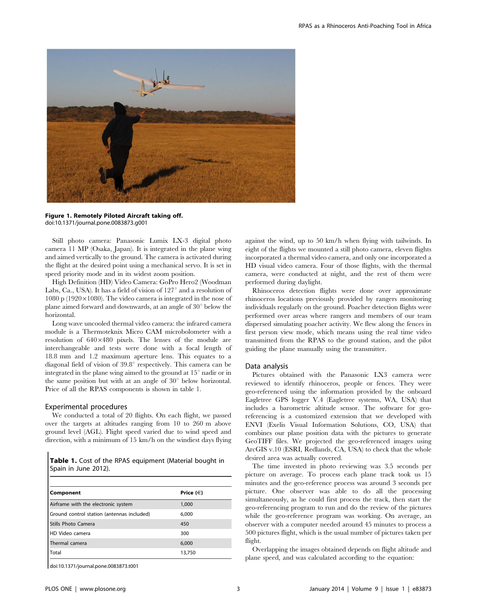

Figure 1. Remotely Piloted Aircraft taking off. doi:10.1371/journal.pone.0083873.g001

Still photo camera: Panasonic Lumix LX-3 digital photo camera 11 MP (Osaka, Japan). It is integrated in the plane wing and aimed vertically to the ground. The camera is activated during the flight at the desired point using a mechanical servo. It is set in speed priority mode and in its widest zoom position.

High Definition (HD) Video Camera: GoPro Hero2 (Woodman Labs, Ca., USA). It has a field of vision of  $127^{\circ}$  and a resolution of 1080 p (1920 $\times$ 1080). The video camera is integrated in the nose of plane aimed forward and downwards, at an angle of  $30^{\circ}$  below the horizontal.

Long wave uncooled thermal video camera: the infrared camera module is a Thermoteknix Micro CAM microbolometer with a resolution of  $640\times480$  pixels. The lenses of the module are interchangeable and tests were done with a focal length of 18.8 mm and 1.2 maximum aperture lens. This equates to a diagonal field of vision of  $39.8^\circ$  respectively. This camera can be integrated in the plane wing aimed to the ground at  $15^{\circ}$  nadir or in the same position but with at an angle of  $30^{\circ}$  below horizontal. Price of all the RPAS components is shown in table 1.

# Experimental procedures

We conducted a total of 20 flights. On each flight, we passed over the targets at altitudes ranging from 10 to 260 m above ground level (AGL). Flight speed varied due to wind speed and direction, with a minimum of 15 km/h on the windiest days flying

| Table 1. Cost of the RPAS equipment (Material bought in |  |
|---------------------------------------------------------|--|
| Spain in June 2012).                                    |  |

| Component                                  | Price $(\in)$ |  |
|--------------------------------------------|---------------|--|
| Airframe with the electronic system        | 1,000         |  |
| Ground control station (antennas included) | 6,000         |  |
| Stills Photo Camera                        | 450           |  |
| HD Video camera                            | 300           |  |
| Thermal camera                             | 6,000         |  |
| Total                                      | 13,750        |  |

doi:10.1371/journal.pone.0083873.t001

against the wind, up to 50 km/h when flying with tailwinds. In eight of the flights we mounted a still photo camera, eleven flights incorporated a thermal video camera, and only one incorporated a HD visual video camera. Four of those flights, with the thermal camera, were conducted at night, and the rest of them were performed during daylight.

Rhinoceros detection flights were done over approximate rhinoceros locations previously provided by rangers monitoring individuals regularly on the ground. Poacher detection flights were performed over areas where rangers and members of our team dispersed simulating poacher activity. We flew along the fences in first person view mode, which means using the real time video transmitted from the RPAS to the ground station, and the pilot guiding the plane manually using the transmitter.

#### Data analysis

Pictures obtained with the Panasonic LX3 camera were reviewed to identify rhinoceros, people or fences. They were geo-referenced using the information provided by the onboard Eagletree GPS logger V.4 (Eagletree systems, WA, USA) that includes a barometric altitude sensor. The software for georeferencing is a customized extension that we developed with ENVI (Exelis Visual Information Solutions, CO, USA) that combines our plane position data with the pictures to generate GeoTIFF files. We projected the geo-referenced images using ArcGIS v.10 (ESRI, Redlands, CA, USA) to check that the whole desired area was actually covered.

The time invested in photo reviewing was 3.5 seconds per picture on average. To process each plane track took us 15 minutes and the geo-reference process was around 3 seconds per picture. One observer was able to do all the processing simultaneously, as he could first process the track, then start the geo-referencing program to run and do the review of the pictures while the geo-reference program was working. On average, an observer with a computer needed around 45 minutes to process a 500 pictures flight, which is the usual number of pictures taken per flight.

Overlapping the images obtained depends on flight altitude and plane speed, and was calculated according to the equation: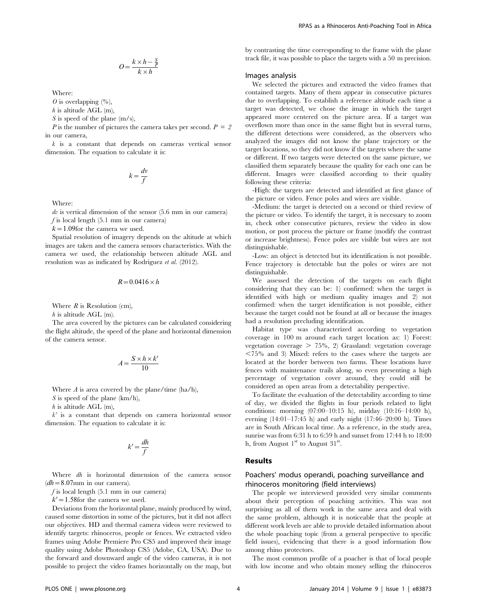$$
O = \frac{k \times h - \frac{S}{P}}{k \times h}
$$

Where:

O is overlapping  $(\%),$ 

 $h$  is altitude AGL (m),

S is speed of the plane  $(m/s)$ ,

P is the number of pictures the camera takes per second.  $P=2$ in our camera,

 $k$  is a constant that depends on cameras vertical sensor dimension. The equation to calculate it is:

$$
k = \frac{dv}{f}
$$

Where:

 $dv$  is vertical dimension of the sensor  $(5.6 \text{ mm in our camera})$  $f$  is local length  $(5.1 \text{ mm in our camera})$ 

 $k=1.09$  for the camera we used.

Spatial resolution of imagery depends on the altitude at which images are taken and the camera sensors characteristics. With the camera we used, the relationship between altitude AGL and resolution was as indicated by Rodriguez et al. (2012).

#### $R = 0.0416 \times h$

Where  $R$  is Resolution (cm),

 $h$  is altitude AGL (m).

The area covered by the pictures can be calculated considering the flight altitude, the speed of the plane and horizontal dimension of the camera sensor.

$$
A = \frac{S \times h \times k'}{10}
$$

Where  $A$  is area covered by the plane/time (ha/h),

 $S$  is speed of the plane (km/h),

 $h$  is altitude AGL (m),

 $k$  is a constant that depends on camera horizontal sensor dimension. The equation to calculate it is:

$$
k' = \frac{dh}{f}
$$

Where *dh* is horizontal dimension of the camera sensor  $(dh=8.07$ mm in our camera).

 $f$  is local length  $(5.1 \text{ mm in our camera})$ 

 $k' = 1.58$  for the camera we used.

Deviations from the horizontal plane, mainly produced by wind, caused some distortion in some of the pictures, but it did not affect our objectives. HD and thermal camera videos were reviewed to identify targets: rhinoceros, people or fences. We extracted video frames using Adobe Premiere Pro CS5 and improved their image quality using Adobe Photoshop CS5 (Adobe, CA, USA). Due to the forward and downward angle of the video cameras, it is not possible to project the video frames horizontally on the map, but by contrasting the time corresponding to the frame with the plane track file, it was possible to place the targets with a 50 m precision.

#### Images analysis

We selected the pictures and extracted the video frames that contained targets. Many of them appear in consecutive pictures due to overlapping. To establish a reference altitude each time a target was detected, we chose the image in which the target appeared more centered on the picture area. If a target was overflown more than once in the same flight but in several turns, the different detections were considered, as the observers who analyzed the images did not know the plane trajectory or the target locations, so they did not know if the targets where the same or different. If two targets were detected on the same picture, we classified them separately because the quality for each one can be different. Images were classified according to their quality following these criteria:

-High: the targets are detected and identified at first glance of the picture or video. Fence poles and wires are visible.

-Medium: the target is detected on a second or third review of the picture or video. To identify the target, it is necessary to zoom in, check other consecutive pictures, review the video in slow motion, or post process the picture or frame (modify the contrast or increase brightness). Fence poles are visible but wires are not distinguishable.

-Low: an object is detected but its identification is not possible. Fence trajectory is detectable but the poles or wires are not distinguishable.

We assessed the detection of the targets on each flight considering that they can be: 1) confirmed: when the target is identified with high or medium quality images and 2) not confirmed: when the target identification is not possible, either because the target could not be found at all or because the images had a resolution precluding identification.

Habitat type was characterized according to vegetation coverage in 100 m around each target location as: 1) Forest: vegetation coverage  $> 75\%$ , 2) Grassland: vegetation coverage  $\langle 75\% \rangle$  and 3) Mixed: refers to the cases where the targets are located at the border between two farms. These locations have fences with maintenance trails along, so even presenting a high percentage of vegetation cover around, they could still be considered as open areas from a detectability perspective.

To facilitate the evaluation of the detectability according to time of day, we divided the flights in four periods related to light conditions: morning (07:00–10:15 h), midday (10:16–14:00 h), evening (14:01–17:45 h) and early night (17:46–20:00 h). Times are in South African local time. As a reference, in the study area, sunrise was from 6:31 h to 6:59 h and sunset from 17:44 h to 18:00 h, from August  $1<sup>st</sup>$  to August  $31<sup>st</sup>$ .

## Results

# Poachers' modus operandi, poaching surveillance and rhinoceros monitoring (field interviews)

The people we interviewed provided very similar comments about their perception of poaching activities. This was not surprising as all of them work in the same area and deal with the same problem, although it is noticeable that the people at different work levels are able to provide detailed information about the whole poaching topic (from a general perspective to specific field issues), evidencing that there is a good information flow among rhino protectors.

The most common profile of a poacher is that of local people with low income and who obtain money selling the rhinoceros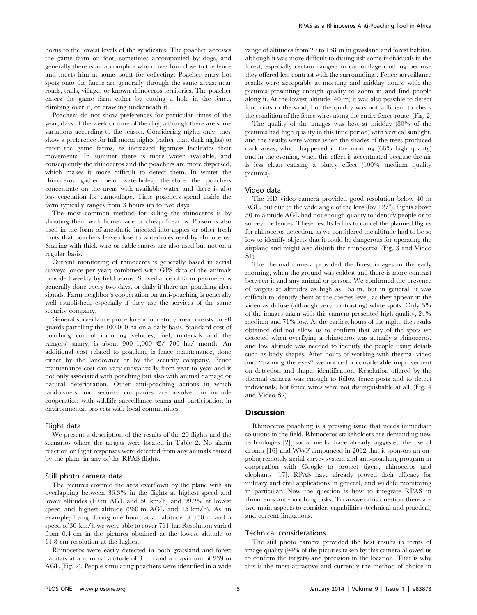horns to the lowest levels of the syndicates. The poacher accesses the game farm on foot, sometimes accompanied by dogs, and generally there is an accomplice who drives him close to the fence and meets him at some point for collecting. Poacher entry hot spots onto the farms are generally through the same areas: near roads, trails, villages or known rhinoceros territories. The poacher enters the game farm either by cutting a hole in the fence, climbing over it, or crawling underneath it.

Poachers do not show preferences for particular times of the year, days of the week or time of the day, although there are some variations according to the season. Considering nights only, they show a preference for full moon nights (rather than dark nights) to enter the game farms, as increased lightness facilitates their movements. In summer there is more water available, and consequently the rhinoceros and the poachers are more dispersed, which makes it more difficult to detect them. In winter the rhinoceros gather near waterholes, therefore the poachers concentrate on the areas with available water and there is also less vegetation for camouflage. Time poachers spend inside the farm typically ranges from 3 hours up to two days.

The most common method for killing the rhinoceros is by shooting them with homemade or cheap firearms. Poison is also used in the form of anesthetic injected into apples or other fresh fruits that poachers leave close to waterholes used by rhinoceros. Snaring with thick wire or cable snares are also used but not on a regular basis.

Current monitoring of rhinoceros is generally based in aerial surveys (once per year) combined with GPS data of the animals provided weekly by field teams. Surveillance of farm perimeter is generally done every two days, or daily if there are poaching alert signals. Farm neighbor's cooperation on anti-poaching is generally well established, especially if they use the services of the same security company.

General surveillance procedure in our study area consists on 90 guards patrolling the 100,000 ha on a daily basis. Standard cost of poaching control including vehicles, fuel, materials and the rangers' salary, is about 900–1,000  $\in$ / 700 ha/ month. An additional cost related to poaching is fence maintenance, done either by the landowner or by the security company. Fence maintenance cost can vary substantially from year to year and is not only associated with poaching but also with animal damage or natural deterioration. Other anti-poaching actions in which landowners and security companies are involved in include cooperation with wildlife surveillance teams and participation in environmental projects with local communities.

#### Flight data

We present a description of the results of the 20 flights and the scenarios where the targets were located in Table 2. No alarm reaction or flight responses were detected from any animals caused by the plane in any of the RPAS flights.

#### Still photo camera data

The pictures covered the area overflown by the plane with an overlapping between 36.3% in the flights at highest speed and lower altitudes (10 m AGL and 50 km/h) and 99.2% at lowest speed and highest altitude (260 m AGL and 15 km/h). As an example, flying during one hour, at an altitude of 150 m and a speed of 30 km/h we were able to cover 711 ha. Resolution varied from 0.4 cm in the pictures obtained at the lowest altitude to 11.8 cm resolution at the highest.

Rhinoceros were easily detected in both grassland and forest habitats at a minimal altitude of 31 m and a maximum of 239 m AGL (Fig. 2). People simulating poachers were identified in a wide

range of altitudes from 29 to 158 m in grassland and forest habitat, although it was more difficult to distinguish some individuals in the forest, especially certain rangers in camouflage clothing because they offered less contrast with the surroundings. Fence surveillance results were acceptable at morning and midday hours, with the pictures presenting enough quality to zoom in and find people along it. At the lowest altitude (40 m) it was also possible to detect footprints in the sand, but the quality was not sufficient to check the condition of the fence wires along the entire fence route. (Fig. 2)

The quality of the images was best at midday (80% of the pictures had high quality in this time period) with vertical sunlight, and the results were worse when the shades of the trees produced dark areas, which happened in the morning (66% high quality) and in the evening, when this effect is accentuated because the air is less clean causing a blurry effect (100% medium quality pictures).

#### Video data

The HD video camera provided good resolution below 40 m AGL, but due to the wide angle of the lens (fov  $127^{\circ}$ ), flights above 50 m altitude AGL had not enough quality to identify people or to survey the fences. These results led us to cancel the planned flights for rhinoceros detection, as we considered the altitude had to be so low to identify objects that it could be dangerous for operating the airplane and might also disturb the rhinoceros. (Fig. 3 and Video S1)

The thermal camera provided the finest images in the early morning, when the ground was coldest and there is more contrast between it and any animal or person. We confirmed the presence of targets at altitudes as high as 155 m, but in general, it was difficult to identify them at the species level, as they appear in the video as diffuse (although very contrasting) white spots. Only 5% of the images taken with this camera presented high quality, 24% medium and 71% low. At the earliest hours of the night, the results obtained did not allow us to confirm that any of the spots we detected when overflying a rhinoceros was actually a rhinoceros, and low altitude was needed to identify the people using details such as body shapes. After hours of working with thermal video and ''training the eyes'' we noticed a considerable improvement on detection and shapes identification. Resolution offered by the thermal camera was enough to follow fence posts and to detect individuals, but fence wires were not distinguishable at all. (Fig. 4 and Video S2)

#### **Discussion**

Rhinoceros poaching is a pressing issue that needs immediate solutions in the field. Rhinoceros stakeholders are demanding new technologies [2]; social media have already suggested the use of drones [16] and WWF announced in 2012 that it sponsors an ongoing remotely aerial survey system and anti-poaching program in cooperation with Google to protect tigers, rhinoceros and elephants [17]. RPAS have already proved their efficacy for military and civil applications in general, and wildlife monitoring in particular. Now the question is how to integrate RPAS in rhinoceros anti-poaching tasks. To answer this question there are two main aspects to consider: capabilities (technical and practical) and current limitations.

# Technical considerations

The still photo camera provided the best results in terms of image quality (94% of the pictures taken by this camera allowed us to confirm the targets) and precision in the location. That is why this is the most attractive and currently the method of choice in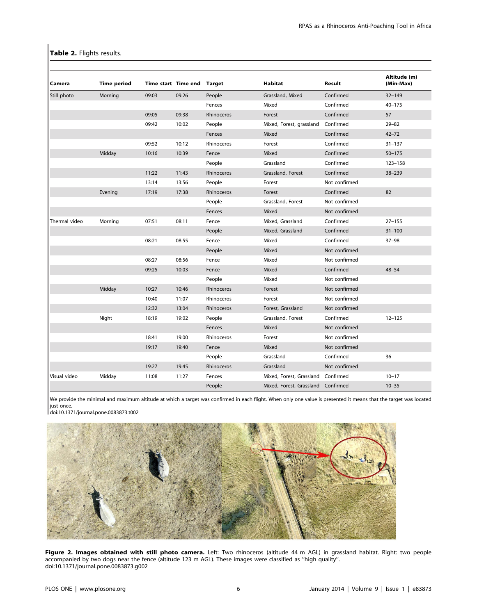# Table 2. Flights results.

| Camera        | <b>Time period</b> |       | Time start Time end Target |            | <b>Habitat</b>                     | Result        | Altitude (m)<br>(Min-Max) |
|---------------|--------------------|-------|----------------------------|------------|------------------------------------|---------------|---------------------------|
| Still photo   | Morning            | 09:03 | 09:26                      | People     | Grassland, Mixed                   | Confirmed     | $32 - 149$                |
|               |                    |       |                            | Fences     | Mixed                              | Confirmed     | $40 - 175$                |
|               |                    | 09:05 | 09:38                      | Rhinoceros | Forest                             | Confirmed     | 57                        |
|               |                    | 09:42 | 10:02                      | People     | Mixed, Forest, grassland           | Confirmed     | $29 - 82$                 |
|               |                    |       |                            | Fences     | Mixed                              | Confirmed     | $42 - 72$                 |
|               |                    | 09:52 | 10:12                      | Rhinoceros | Forest                             | Confirmed     | $31 - 137$                |
|               | Midday             | 10:16 | 10:39                      | Fence      | Mixed                              | Confirmed     | $50 - 175$                |
|               |                    |       |                            | People     | Grassland                          | Confirmed     | 123-158                   |
|               |                    | 11:22 | 11:43                      | Rhinoceros | Grassland, Forest                  | Confirmed     | 38-239                    |
|               |                    | 13:14 | 13:56                      | People     | Forest                             | Not confirmed |                           |
|               | Evening            | 17:19 | 17:38                      | Rhinoceros | Forest                             | Confirmed     | 82                        |
|               |                    |       |                            | People     | Grassland, Forest                  | Not confirmed |                           |
|               |                    |       |                            | Fences     | Mixed                              | Not confirmed |                           |
| Thermal video | Morning            | 07:51 | 08:11                      | Fence      | Mixed, Grassland                   | Confirmed     | $27 - 155$                |
|               |                    |       |                            | People     | Mixed, Grassland                   | Confirmed     | $31 - 100$                |
|               |                    | 08:21 | 08:55                      | Fence      | Mixed                              | Confirmed     | $37 - 98$                 |
|               |                    |       |                            | People     | Mixed                              | Not confirmed |                           |
|               |                    | 08:27 | 08:56                      | Fence      | Mixed                              | Not confirmed |                           |
|               |                    | 09:25 | 10:03                      | Fence      | Mixed                              | Confirmed     | $48 - 54$                 |
|               |                    |       |                            | People     | Mixed                              | Not confirmed |                           |
|               | Midday             | 10:27 | 10:46                      | Rhinoceros | Forest                             | Not confirmed |                           |
|               |                    | 10:40 | 11:07                      | Rhinoceros | Forest                             | Not confirmed |                           |
|               |                    | 12:32 | 13:04                      | Rhinoceros | Forest, Grassland                  | Not confirmed |                           |
|               | Night              | 18:19 | 19:02                      | People     | Grassland, Forest                  | Confirmed     | $12 - 125$                |
|               |                    |       |                            | Fences     | Mixed                              | Not confirmed |                           |
|               |                    | 18:41 | 19:00                      | Rhinoceros | Forest                             | Not confirmed |                           |
|               |                    | 19:17 | 19:40                      | Fence      | Mixed                              | Not confirmed |                           |
|               |                    |       |                            | People     | Grassland                          | Confirmed     | 36                        |
|               |                    | 19:27 | 19:45                      | Rhinoceros | Grassland                          | Not confirmed |                           |
| Visual video  | Midday             | 11:08 | 11:27                      | Fences     | Mixed, Forest, Grassland           | Confirmed     | $10 - 17$                 |
|               |                    |       |                            | People     | Mixed, Forest, Grassland Confirmed |               | $10 - 35$                 |

We provide the minimal and maximum altitude at which a target was confirmed in each flight. When only one value is presented it means that the target was located just once.

doi:10.1371/journal.pone.0083873.t002



Figure 2. Images obtained with still photo camera. Left: Two rhinoceros (altitude 44 m AGL) in grassland habitat. Right: two people accompanied by two dogs near the fence (altitude 123 m AGL). These images were classified as ''high quality''. doi:10.1371/journal.pone.0083873.g002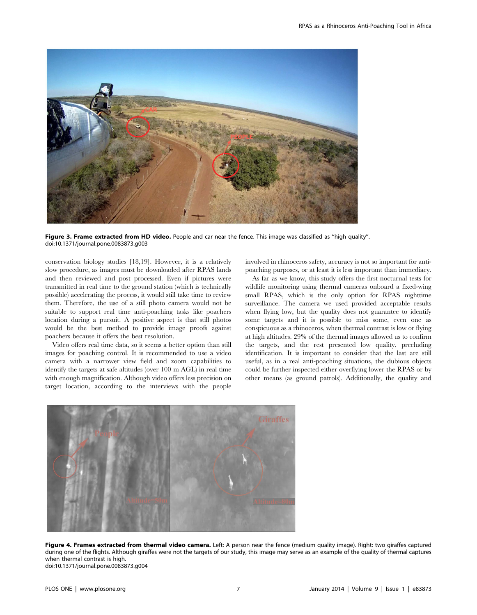

Figure 3. Frame extracted from HD video. People and car near the fence. This image was classified as "high quality". doi:10.1371/journal.pone.0083873.g003

conservation biology studies [18,19]. However, it is a relatively slow procedure, as images must be downloaded after RPAS lands and then reviewed and post processed. Even if pictures were transmitted in real time to the ground station (which is technically possible) accelerating the process, it would still take time to review them. Therefore, the use of a still photo camera would not be suitable to support real time anti-poaching tasks like poachers location during a pursuit. A positive aspect is that still photos would be the best method to provide image proofs against poachers because it offers the best resolution.

Video offers real time data, so it seems a better option than still images for poaching control. It is recommended to use a video camera with a narrower view field and zoom capabilities to identify the targets at safe altitudes (over 100 m AGL) in real time with enough magnification. Although video offers less precision on target location, according to the interviews with the people involved in rhinoceros safety, accuracy is not so important for antipoaching purposes, or at least it is less important than immediacy.

As far as we know, this study offers the first nocturnal tests for wildlife monitoring using thermal cameras onboard a fixed-wing small RPAS, which is the only option for RPAS nighttime surveillance. The camera we used provided acceptable results when flying low, but the quality does not guarantee to identify some targets and it is possible to miss some, even one as conspicuous as a rhinoceros, when thermal contrast is low or flying at high altitudes. 29% of the thermal images allowed us to confirm the targets, and the rest presented low quality, precluding identification. It is important to consider that the last are still useful, as in a real anti-poaching situations, the dubious objects could be further inspected either overflying lower the RPAS or by other means (as ground patrols). Additionally, the quality and



Figure 4. Frames extracted from thermal video camera. Left: A person near the fence (medium quality image). Right: two giraffes captured during one of the flights. Although giraffes were not the targets of our study, this image may serve as an example of the quality of thermal captures when thermal contrast is high. doi:10.1371/journal.pone.0083873.g004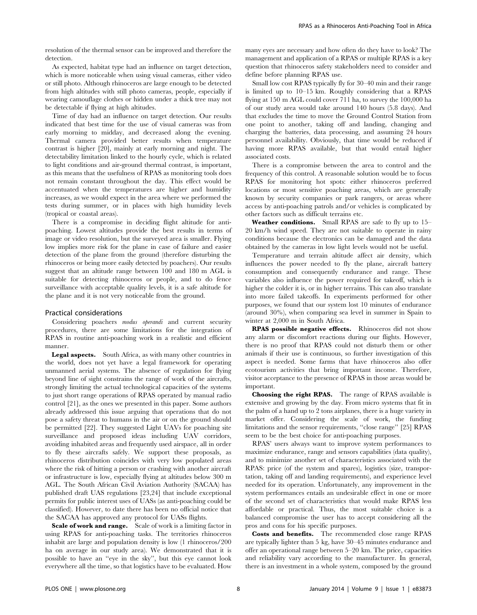resolution of the thermal sensor can be improved and therefore the detection.

As expected, habitat type had an influence on target detection, which is more noticeable when using visual cameras, either video or still photo. Although rhinoceros are large enough to be detected from high altitudes with still photo cameras, people, especially if wearing camouflage clothes or hidden under a thick tree may not be detectable if flying at high altitudes.

Time of day had an influence on target detection. Our results indicated that best time for the use of visual cameras was from early morning to midday, and decreased along the evening. Thermal camera provided better results when temperature contrast is higher [20], mainly at early morning and night. The detectability limitation linked to the hourly cycle, which is related to light conditions and air-ground thermal contrast, is important, as this means that the usefulness of RPAS as monitoring tools does not remain constant throughout the day. This effect would be accentuated when the temperatures are higher and humidity increases, as we would expect in the area where we performed the tests during summer, or in places with high humidity levels (tropical or coastal areas).

There is a compromise in deciding flight altitude for antipoaching. Lowest altitudes provide the best results in terms of image or video resolution, but the surveyed area is smaller. Flying low implies more risk for the plane in case of failure and easier detection of the plane from the ground (therefore disturbing the rhinoceros or being more easily detected by poachers). Our results suggest that an altitude range between 100 and 180 m AGL is suitable for detecting rhinoceros or people, and to do fence surveillance with acceptable quality levels, it is a safe altitude for the plane and it is not very noticeable from the ground.

#### Practical considerations

Considering poachers *modus operandi* and current security procedures, there are some limitations for the integration of RPAS in routine anti-poaching work in a realistic and efficient manner.

Legal aspects. South Africa, as with many other countries in the world, does not yet have a legal framework for operating unmanned aerial systems. The absence of regulation for flying beyond line of sight constrains the range of work of the aircrafts, strongly limiting the actual technological capacities of the systems to just short range operations of RPAS operated by manual radio control [21], as the ones we presented in this paper. Some authors already addressed this issue arguing that operations that do not pose a safety threat to humans in the air or on the ground should be permitted [22]. They suggested Light UAVs for poaching site surveillance and proposed ideas including UAV corridors, avoiding inhabited areas and frequently used airspace, all in order to fly these aircrafts safely. We support these proposals, as rhinoceros distribution coincides with very low populated areas where the risk of hitting a person or crashing with another aircraft or infrastructure is low, especially flying at altitudes below 300 m AGL. The South African Civil Aviation Authority (SACAA) has published draft UAS regulations [23,24] that include exceptional permits for public interest uses of UASs (as anti-poaching could be classified). However, to date there has been no official notice that the SACAA has approved any protocol for UASs flights.

Scale of work and range. Scale of work is a limiting factor in using RPAS for anti-poaching tasks. The territories rhinoceros inhabit are large and population density is low (1 rhinoceros/200 ha on average in our study area). We demonstrated that it is possible to have an ''eye in the sky'', but this eye cannot look everywhere all the time, so that logistics have to be evaluated. How many eyes are necessary and how often do they have to look? The management and application of a RPAS or multiple RPAS is a key question that rhinoceros safety stakeholders need to consider and define before planning RPAS use.

Small low cost RPAS typically fly for 30–40 min and their range is limited up to 10–15 km. Roughly considering that a RPAS flying at 150 m AGL could cover 711 ha, to survey the 100,000 ha of our study area would take around 140 hours (5.8 days). And that excludes the time to move the Ground Control Station from one point to another, taking off and landing, changing and charging the batteries, data processing, and assuming 24 hours personnel availability. Obviously, that time would be reduced if having more RPAS available, but that would entail higher associated costs.

There is a compromise between the area to control and the frequency of this control. A reasonable solution would be to focus RPAS for monitoring hot spots: either rhinoceros preferred locations or most sensitive poaching areas, which are generally known by security companies or park rangers, or areas where access by anti-poaching patrols and/or vehicles is complicated by other factors such as difficult terrains etc.

Weather conditions. Small RPAS are safe to fly up to 15– 20 km/h wind speed. They are not suitable to operate in rainy conditions because the electronics can be damaged and the data obtained by the cameras in low light levels would not be useful.

Temperature and terrain altitude affect air density, which influences the power needed to fly the plane, aircraft battery consumption and consequently endurance and range. These variables also influence the power required for takeoff, which is higher the colder it is, or in higher terrains. This can also translate into more failed takeoffs. In experiments performed for other purposes, we found that our system lost 10 minutes of endurance (around 30%), when comparing sea level in summer in Spain to winter at 2,000 m in South Africa.

RPAS possible negative effects. Rhinoceros did not show any alarm or discomfort reactions during our flights. However, there is no proof that RPAS could not disturb them or other animals if their use is continuous, so further investigation of this aspect is needed. Some farms that have rhinoceros also offer ecotourism activities that bring important income. Therefore, visitor acceptance to the presence of RPAS in those areas would be important.

Choosing the right RPAS. The range of RPAS available is extensive and growing by the day. From micro systems that fit in the palm of a hand up to 2 tons airplanes, there is a huge variety in market offer. Considering the scale of work, the funding limitations and the sensor requirements, "close range" [25] RPAS seem to be the best choice for anti-poaching purposes.

RPAS' users always want to improve system performances to maximize endurance, range and sensors capabilities (data quality), and to minimize another set of characteristics associated with the RPAS: price (of the system and spares), logistics (size, transportation, taking off and landing requirements), and experience level needed for its operation. Unfortunately, any improvement in the system performances entails an undesirable effect in one or more of the second set of characteristics that would make RPAS less affordable or practical. Thus, the most suitable choice is a balanced compromise the user has to accept considering all the pros and cons for his specific purposes.

Costs and benefits. The recommended close range RPAS are typically lighter than 5 kg, have 30–45 minutes endurance and offer an operational range between 5–20 km. The price, capacities and reliability vary according to the manufacturer. In general, there is an investment in a whole system, composed by the ground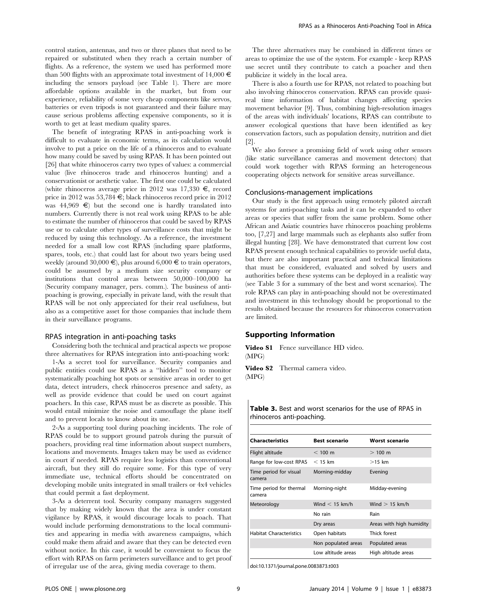control station, antennas, and two or three planes that need to be repaired or substituted when they reach a certain number of flights. As a reference, the system we used has performed more than 500 flights with an approximate total investment of 14,000  $\in$ including the sensors payload (see Table 1). There are more affordable options available in the market, but from our experience, reliability of some very cheap components like servos, batteries or even tripods is not guaranteed and their failure may cause serious problems affecting expensive components, so it is worth to get at least medium quality spares.

The benefit of integrating RPAS in anti-poaching work is difficult to evaluate in economic terms, as its calculation would involve to put a price on the life of a rhinoceros and to evaluate how many could be saved by using RPAS. It has been pointed out [26] that white rhinoceros carry two types of values: a commercial value (live rhinoceros trade and rhinoceros hunting) and a conservationist or aesthetic value. The first one could be calculated (white rhinoceros average price in 2012 was 17,330  $\epsilon$ , record price in 2012 was 53,784  $\epsilon$ ; black rhinoceros record price in 2012 was 44,969  $\epsilon$ ) but the second one is hardly translated into numbers. Currently there is not real work using RPAS to be able to estimate the number of rhinoceros that could be saved by RPAS use or to calculate other types of surveillance costs that might be reduced by using this technology. As a reference, the investment needed for a small low cost RPAS (including spare platforms, spares, tools, etc.) that could last for about two years being used weekly (around 30,000  $\in$ ), plus around 6,000  $\in$  to train operators, could be assumed by a medium size security company or institutions that control areas between 50,000–100,000 ha (Security company manager, pers. comm.). The business of antipoaching is growing, especially in private land, with the result that RPAS will be not only appreciated for their real usefulness, but also as a competitive asset for those companies that include them in their surveillance programs.

#### RPAS integration in anti-poaching tasks

Considering both the technical and practical aspects we propose three alternatives for RPAS integration into anti-poaching work:

1-As a secret tool for surveillance. Security companies and public entities could use RPAS as a ''hidden'' tool to monitor systematically poaching hot spots or sensitive areas in order to get data, detect intruders, check rhinoceros presence and safety, as well as provide evidence that could be used on court against poachers. In this case, RPAS must be as discrete as possible. This would entail minimize the noise and camouflage the plane itself and to prevent locals to know about its use.

2-As a supporting tool during poaching incidents. The role of RPAS could be to support ground patrols during the pursuit of poachers, providing real time information about suspect numbers, locations and movements. Images taken may be used as evidence in court if needed. RPAS require less logistics than conventional aircraft, but they still do require some. For this type of very immediate use, technical efforts should be concentrated on developing mobile units integrated in small trailers or 4x4 vehicles that could permit a fast deployment.

3-As a deterrent tool. Security company managers suggested that by making widely known that the area is under constant vigilance by RPAS, it would discourage locals to poach. That would include performing demonstrations to the local communities and appearing in media with awareness campaigns, which could make them afraid and aware that they can be detected even without notice. In this case, it would be convenient to focus the effort with RPAS on farm perimeters surveillance and to get proof of irregular use of the area, giving media coverage to them.

The three alternatives may be combined in different times or areas to optimize the use of the system. For example - keep RPAS use secret until they contribute to catch a poacher and then publicize it widely in the local area.

There is also a fourth use for RPAS, not related to poaching but also involving rhinoceros conservation. RPAS can provide quasireal time information of habitat changes affecting species movement behavior [9]. Thus, combining high-resolution images of the areas with individuals' locations, RPAS can contribute to answer ecological questions that have been identified as key conservation factors, such as population density, nutrition and diet [2].

We also foresee a promising field of work using other sensors (like static surveillance cameras and movement detectors) that could work together with RPAS forming an heterogeneous cooperating objects network for sensitive areas surveillance.

#### Conclusions-management implications

Our study is the first approach using remotely piloted aircraft systems for anti-poaching tasks and it can be expanded to other areas or species that suffer from the same problem. Some other African and Asiatic countries have rhinoceros poaching problems too, [7,27] and large mammals such as elephants also suffer from illegal hunting [28]. We have demonstrated that current low cost RPAS present enough technical capabilities to provide useful data, but there are also important practical and technical limitations that must be considered, evaluated and solved by users and authorities before these systems can be deployed in a realistic way (see Table 3 for a summary of the best and worst scenarios). The role RPAS can play in anti-poaching should not be overestimated and investment in this technology should be proportional to the results obtained because the resources for rhinoceros conservation are limited.

# Supporting Information

Video S1 Fence surveillance HD video. (MPG)

Video S2 Thermal camera video. (MPG)

Table 3. Best and worst scenarios for the use of RPAS in rhinoceros anti-poaching.

| <b>Characteristics</b>            | <b>Best scenario</b> | Worst scenario           |
|-----------------------------------|----------------------|--------------------------|
| Flight altitude                   | $< 100 \; \text{m}$  | $>100 \; \text{m}$       |
| Range for low-cost RPAS           | $<$ 15 km            | $>15$ km                 |
| Time period for visual<br>camera  | Morning-midday       | Evening                  |
| Time period for thermal<br>camera | Morning-night        | Midday-evening           |
| Meteorology                       | Wind $<$ 15 km/h     | Wind $> 15$ km/h         |
|                                   | No rain              | Rain                     |
|                                   | Dry areas            | Areas with high humidity |
| <b>Habitat Characteristics</b>    | Open habitats        | Thick forest             |
|                                   | Non populated areas  | Populated areas          |
|                                   | Low altitude areas   | High altitude areas      |

doi:10.1371/journal.pone.0083873.t003